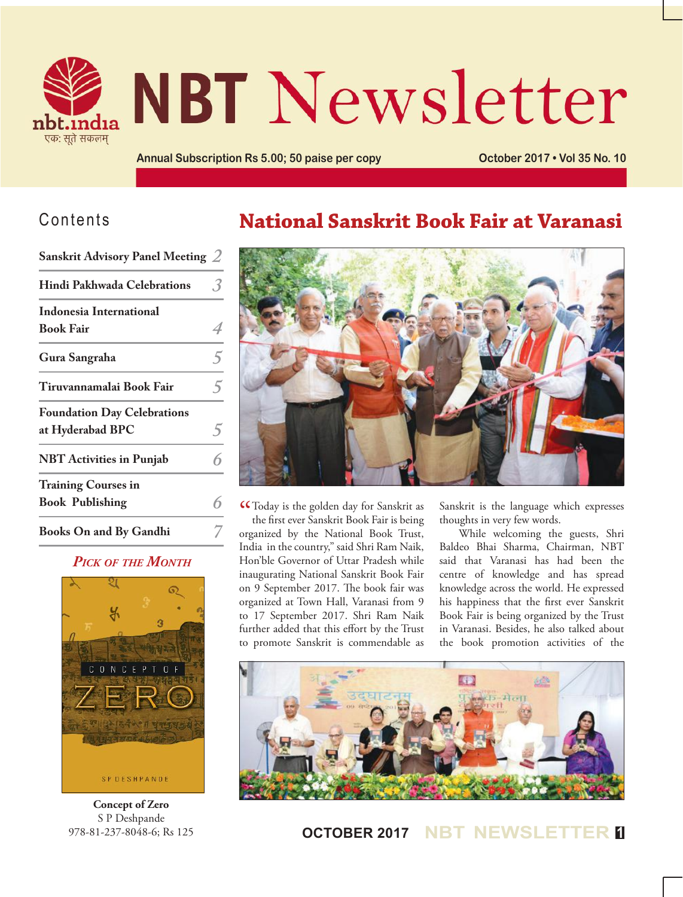

# **NBT Newsletter**

**Annual Subscription Rs 5.00; 50 paise per copy <b>Connect COLOGIT COLOGIT** • Vol 35 No. 10

## Contents

**Sanskrit Advisory Panel Meeting** *2*

| Sanskrit Advisory Panel Meeting $\angle$ |   |
|------------------------------------------|---|
| Hindi Pakhwada Celebrations              |   |
| <b>Indonesia International</b>           |   |
| <b>Book Fair</b>                         |   |
| Gura Sangraha                            | 5 |
| Tiruvannamalai Book Fair                 | 5 |
| <b>Foundation Day Celebrations</b>       |   |
| at Hyderabad BPC                         |   |
| <b>NBT</b> Activities in Punjab          | հ |
| <b>Training Courses in</b>               |   |
| <b>Book Publishing</b>                   | հ |
| <b>Books On and By Gandhi</b>            |   |

### *Pick of the Month*



**Concept of Zero** S P Deshpande 978-81-237-8048-6; Rs 125

## **National Sanskrit Book Fair at Varanasi**



**CC** Today is the golden day for Sanskrit as<br>the first ever Sanskrit Book Fair is being the first ever Sanskrit Book Fair is being organized by the National Book Trust, India in the country," said Shri Ram Naik, Hon'ble Governor of Uttar Pradesh while inaugurating National Sanskrit Book Fair on 9 September 2017. The book fair was organized at Town Hall, Varanasi from 9 to 17 September 2017. Shri Ram Naik further added that this effort by the Trust to promote Sanskrit is commendable as Sanskrit is the language which expresses thoughts in very few words.

While welcoming the guests, Shri Baldeo Bhai Sharma, Chairman, NBT said that Varanasi has had been the centre of knowledge and has spread knowledge across the world. He expressed his happiness that the first ever Sanskrit Book Fair is being organized by the Trust in Varanasi. Besides, he also talked about the book promotion activities of the



**OCTOBER 2017 NBT NEWSLETTER <sup>1</sup>**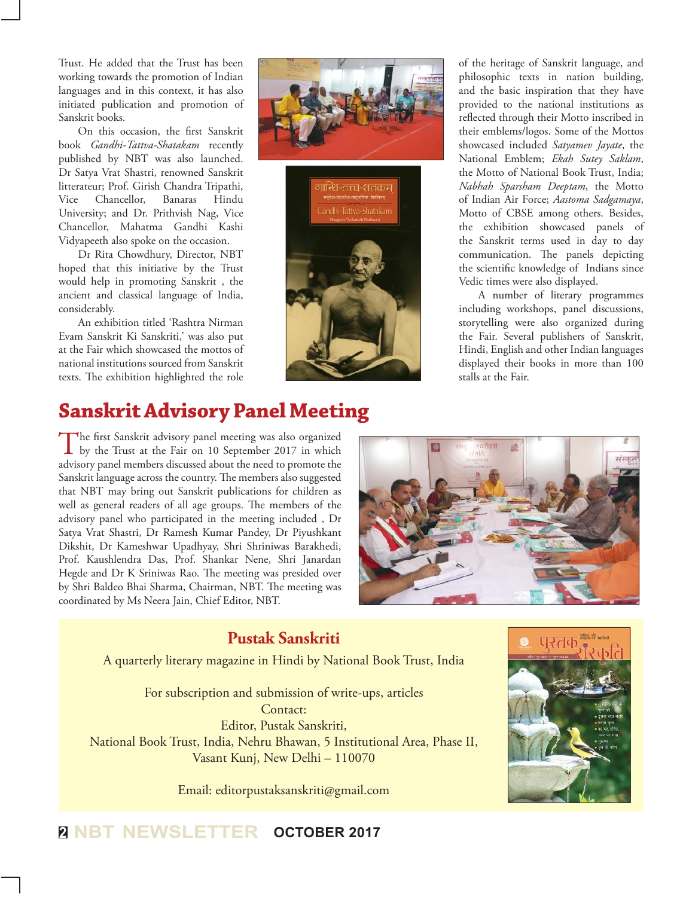Trust. He added that the Trust has been working towards the promotion of Indian languages and in this context, it has also initiated publication and promotion of Sanskrit books.

On this occasion, the first Sanskrit book *Gandhi-Tattva-Shatakam* recently published by NBT was also launched. Dr Satya Vrat Shastri, renowned Sanskrit litterateur; Prof. Girish Chandra Tripathi, Vice Chancellor, Banaras Hindu University; and Dr. Prithvish Nag, Vice Chancellor, Mahatma Gandhi Kashi Vidyapeeth also spoke on the occasion.

Dr Rita Chowdhury, Director, NBT hoped that this initiative by the Trust would help in promoting Sanskrit , the ancient and classical language of India, considerably.

An exhibition titled 'Rashtra Nirman Evam Sanskrit Ki Sanskriti,' was also put at the Fair which showcased the mottos of national institutions sourced from Sanskrit texts. The exhibition highlighted the role





of the heritage of Sanskrit language, and philosophic texts in nation building, and the basic inspiration that they have provided to the national institutions as reflected through their Motto inscribed in their emblems/logos. Some of the Mottos showcased included *Satyamev Jayate*, the National Emblem; *Ekah Sutey Saklam*, the Motto of National Book Trust, India; *Nabhah Sparsham Deeptam*, the Motto of Indian Air Force; *Aastoma Sadgamaya*, Motto of CBSE among others. Besides, the exhibition showcased panels of the Sanskrit terms used in day to day communication. The panels depicting the scientific knowledge of Indians since Vedic times were also displayed.

A number of literary programmes including workshops, panel discussions, storytelling were also organized during the Fair. Several publishers of Sanskrit, Hindi, English and other Indian languages displayed their books in more than 100 stalls at the Fair.

## **Sanskrit Advisory Panel Meeting**

The first Sanskrit advisory panel meeting was also organized by the Trust at the Fair on 10 September 2017 in which advisory panel members discussed about the need to promote the Sanskrit language across the country. The members also suggested that NBT may bring out Sanskrit publications for children as well as general readers of all age groups. The members of the advisory panel who participated in the meeting included , Dr Satya Vrat Shastri, Dr Ramesh Kumar Pandey, Dr Piyushkant Dikshit, Dr Kameshwar Upadhyay, Shri Shriniwas Barakhedi, Prof. Kaushlendra Das, Prof. Shankar Nene, Shri Janardan Hegde and Dr K Sriniwas Rao. The meeting was presided over by Shri Baldeo Bhai Sharma, Chairman, NBT. The meeting was coordinated by Ms Neera Jain, Chief Editor, NBT.



## **Pustak Sanskriti**

A quarterly literary magazine in Hindi by National Book Trust, India

For subscription and submission of write-ups, articles Contact: Editor, Pustak Sanskriti, National Book Trust, India, Nehru Bhawan, 5 Institutional Area, Phase II, Vasant Kunj, New Delhi – 110070

Email: editorpustaksanskriti@gmail.com



**<sup>2</sup> NBT NEWSLETTER OCTOBER 2017**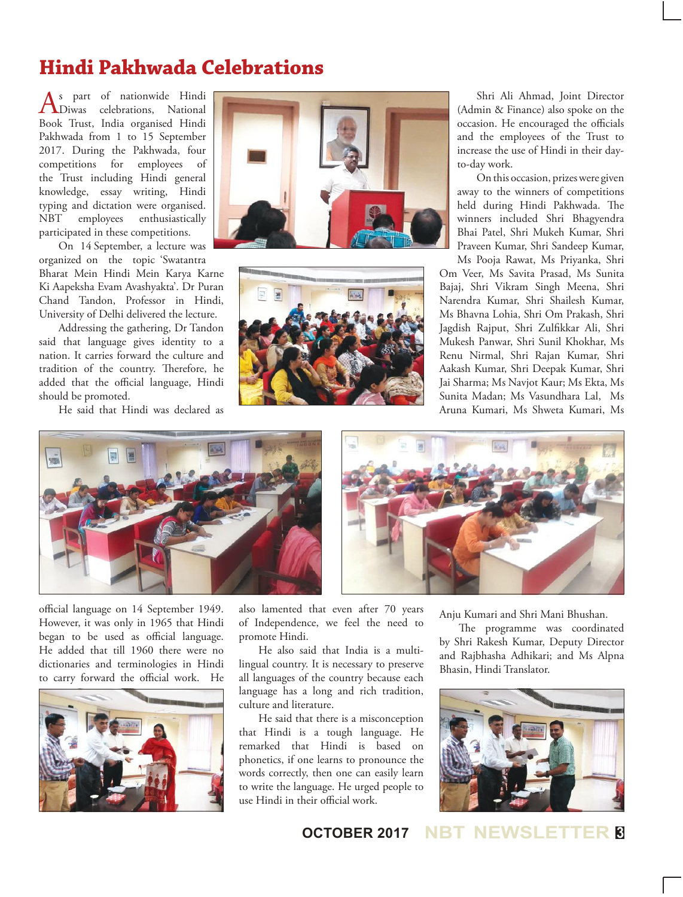## **Hindi Pakhwada Celebrations**

 $\bigwedge_{\text{Divas}}^{\text{s part of nationwide Hindi}}$ Book Trust, India organised Hindi Pakhwada from 1 to 15 September 2017. During the Pakhwada, four competitions for employees of the Trust including Hindi general knowledge, essay writing, Hindi typing and dictation were organised. NBT employees enthusiastically participated in these competitions.

On 14 September, a lecture was organized on the topic 'Swatantra

Bharat Mein Hindi Mein Karya Karne Ki Aapeksha Evam Avashyakta'. Dr Puran Chand Tandon, Professor in Hindi, University of Delhi delivered the lecture.

Addressing the gathering, Dr Tandon said that language gives identity to a nation. It carries forward the culture and tradition of the country. Therefore, he added that the official language, Hindi should be promoted.

He said that Hindi was declared as





Shri Ali Ahmad, Joint Director (Admin & Finance) also spoke on the occasion. He encouraged the officials and the employees of the Trust to increase the use of Hindi in their dayto-day work.

On this occasion, prizes were given away to the winners of competitions held during Hindi Pakhwada. The winners included Shri Bhagyendra Bhai Patel, Shri Mukeh Kumar, Shri Praveen Kumar, Shri Sandeep Kumar, Ms Pooja Rawat, Ms Priyanka, Shri

Om Veer, Ms Savita Prasad, Ms Sunita Bajaj, Shri Vikram Singh Meena, Shri Narendra Kumar, Shri Shailesh Kumar, Ms Bhavna Lohia, Shri Om Prakash, Shri Jagdish Rajput, Shri Zulfikkar Ali, Shri Mukesh Panwar, Shri Sunil Khokhar, Ms Renu Nirmal, Shri Rajan Kumar, Shri Aakash Kumar, Shri Deepak Kumar, Shri Jai Sharma; Ms Navjot Kaur; Ms Ekta, Ms Sunita Madan; Ms Vasundhara Lal, Ms Aruna Kumari, Ms Shweta Kumari, Ms





official language on 14 September 1949. However, it was only in 1965 that Hindi began to be used as official language. He added that till 1960 there were no dictionaries and terminologies in Hindi to carry forward the official work. He



also lamented that even after 70 years of Independence, we feel the need to promote Hindi.

He also said that India is a multilingual country. It is necessary to preserve all languages of the country because each language has a long and rich tradition, culture and literature.

He said that there is a misconception that Hindi is a tough language. He remarked that Hindi is based on phonetics, if one learns to pronounce the words correctly, then one can easily learn to write the language. He urged people to use Hindi in their official work.

Anju Kumari and Shri Mani Bhushan.

The programme was coordinated by Shri Rakesh Kumar, Deputy Director and Rajbhasha Adhikari; and Ms Alpna Bhasin, Hindi Translator.



#### **OCTOBER 2017 NBT NEWSLETTER <sup>3</sup>**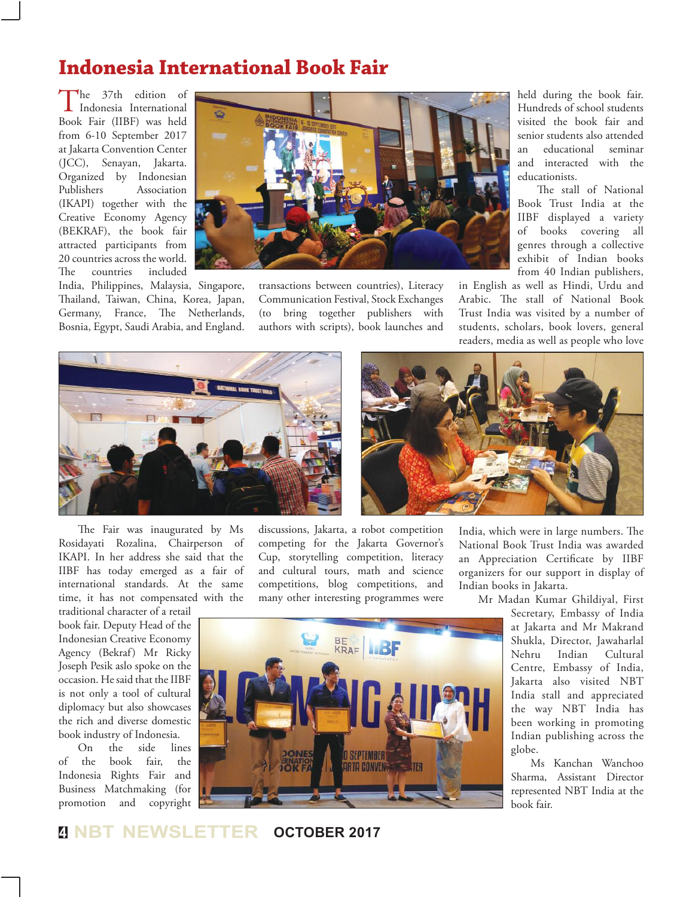## **Indonesia International Book Fair**

The 37th edition of<br>Indonesia International<br>References Book Fair (IIBF) was held from 6-10 September 2017 at Jakarta Convention Center (JCC), Senayan, Jakarta. Organized by Indonesian Publishers Association (IKAPI) together with the Creative Economy Agency (BEKRAF), the book fair attracted participants from 20 countries across the world. The countries included



India, Philippines, Malaysia, Singapore, Thailand, Taiwan, China, Korea, Japan, Germany, France, The Netherlands, Bosnia, Egypt, Saudi Arabia, and England. transactions between countries), Literacy Communication Festival, Stock Exchanges (to bring together publishers with authors with scripts), book launches and

held during the book fair. Hundreds of school students visited the book fair and senior students also attended<br>an educational seminar an educational and interacted with the educationists.

The stall of National Book Trust India at the IIBF displayed a variety of books covering all genres through a collective exhibit of Indian books from 40 Indian publishers,

in English as well as Hindi, Urdu and Arabic. The stall of National Book Trust India was visited by a number of students, scholars, book lovers, general readers, media as well as people who love



The Fair was inaugurated by Ms Rosidayati Rozalina, Chairperson of IKAPI. In her address she said that the IIBF has today emerged as a fair of international standards. At the same time, it has not compensated with the

traditional character of a retail book fair. Deputy Head of the Indonesian Creative Economy Agency (Bekraf) Mr Ricky Joseph Pesik aslo spoke on the occasion. He said that the IIBF is not only a tool of cultural diplomacy but also showcases the rich and diverse domestic book industry of Indonesia.

On the side lines of the book fair, the Indonesia Rights Fair and Business Matchmaking (for promotion and copyright

discussions, Jakarta, a robot competition competing for the Jakarta Governor's Cup, storytelling competition, literacy and cultural tours, math and science competitions, blog competitions, and many other interesting programmes were



Mr Madan Kumar Ghildiyal, First

Secretary, Embassy of India at Jakarta and Mr Makrand Shukla, Director, Jawaharlal Nehru Indian Cultural Centre, Embassy of India, Jakarta also visited NBT India stall and appreciated the way NBT India has been working in promoting Indian publishing across the globe.

Ms Kanchan Wanchoo Sharma, Assistant Director represented NBT India at the book fair.



**<sup>4</sup> NBT NEWSLETTER OCTOBER 2017**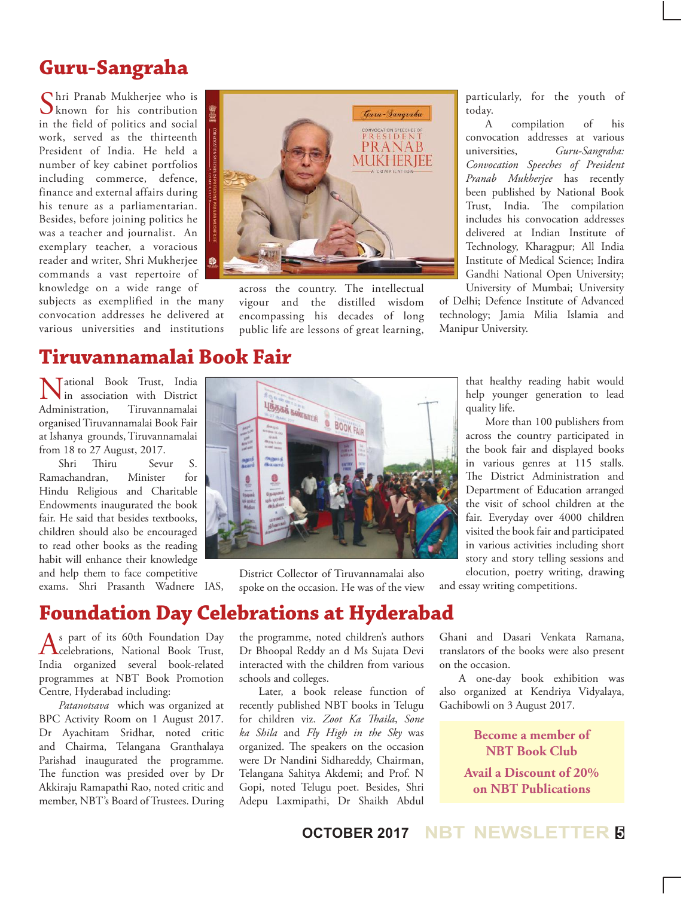## **Guru-Sangraha**

Shri Pranab Mukherjee who is known for his contribution in the field of politics and social work, served as the thirteenth President of India. He held a number of key cabinet portfolios including commerce, defence, finance and external affairs during his tenure as a parliamentarian. Besides, before joining politics he was a teacher and journalist. An exemplary teacher, a voracious reader and writer, Shri Mukherjee commands a vast repertoire of knowledge on a wide range of

subjects as exemplified in the many convocation addresses he delivered at various universities and institutions



across the country. The intellectual vigour and the distilled wisdom encompassing his decades of long public life are lessons of great learning,

particularly, for the youth of today.

A compilation of his convocation addresses at various universities, *Guru-Sangraha: Convocation Speeches of President Pranab Mukherjee* has recently been published by National Book Trust, India. The compilation includes his convocation addresses delivered at Indian Institute of Technology, Kharagpur; All India Institute of Medical Science; Indira Gandhi National Open University; University of Mumbai; University

of Delhi; Defence Institute of Advanced technology; Jamia Milia Islamia and Manipur University.

## **Tiruvannamalai Book Fair**

Mational Book Trust, India<br>in association with District<br>Administration. Tiruvannamalai in association with District Tiruvannamalai organised Tiruvannamalai Book Fair at Ishanya grounds, Tiruvannamalai from 18 to 27 August, 2017.

Shri Thiru Sevur S. Ramachandran, Minister for Hindu Religious and Charitable Endowments inaugurated the book fair. He said that besides textbooks, children should also be encouraged to read other books as the reading habit will enhance their knowledge and help them to face competitive exams. Shri Prasanth Wadnere IAS,



District Collector of Tiruvannamalai also spoke on the occasion. He was of the view that healthy reading habit would help younger generation to lead quality life.

More than 100 publishers from across the country participated in the book fair and displayed books in various genres at 115 stalls. The District Administration and Department of Education arranged the visit of school children at the fair. Everyday over 4000 children visited the book fair and participated in various activities including short story and story telling sessions and elocution, poetry writing, drawing

and essay writing competitions.

## **Foundation Day Celebrations at Hyderabad**

As part of its 60th Foundation Day<br>
celebrations, National Book Trust, India organized several book-related programmes at NBT Book Promotion Centre, Hyderabad including:

*Patanotsava* which was organized at BPC Activity Room on 1 August 2017. Dr Ayachitam Sridhar, noted critic and Chairma, Telangana Granthalaya Parishad inaugurated the programme. The function was presided over by Dr Akkiraju Ramapathi Rao, noted critic and member, NBT's Board of Trustees. During the programme, noted children's authors Dr Bhoopal Reddy an d Ms Sujata Devi interacted with the children from various schools and colleges.

Later, a book release function of recently published NBT books in Telugu for children viz. *Zoot Ka Thaila*, *Sone ka Shila* and *Fly High in the Sky* was organized. The speakers on the occasion were Dr Nandini Sidhareddy, Chairman, Telangana Sahitya Akdemi; and Prof. N Gopi, noted Telugu poet. Besides, Shri Adepu Laxmipathi, Dr Shaikh Abdul

Ghani and Dasari Venkata Ramana, translators of the books were also present on the occasion.

A one-day book exhibition was also organized at Kendriya Vidyalaya, Gachibowli on 3 August 2017.

> **Become a member of NBT Book Club Avail a Discount of 20% on NBT Publications**

## **OCTOBER 2017 NBT NEWSLETTER <sup>5</sup>**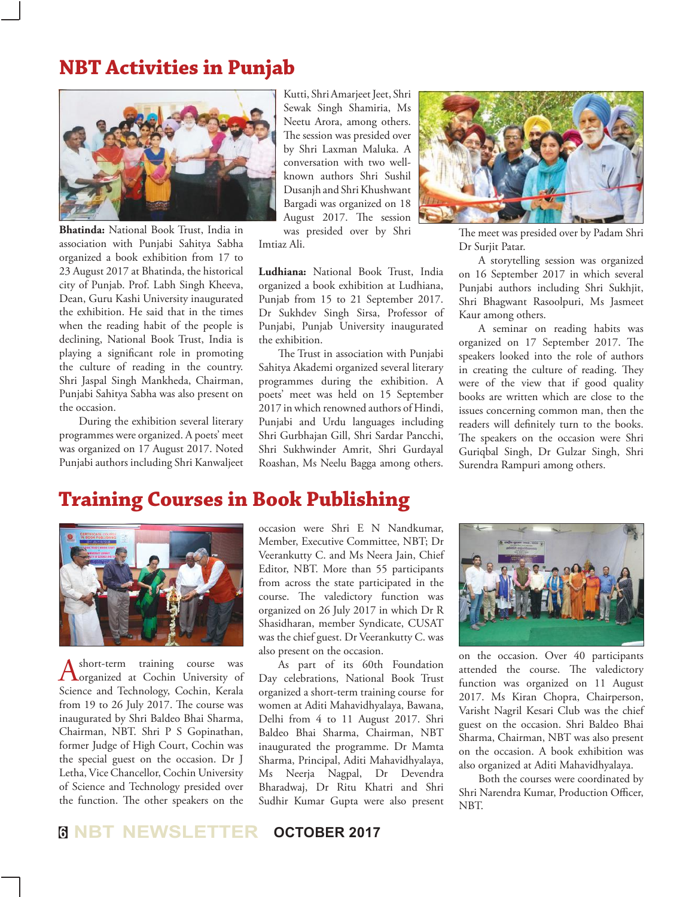## **NBT Activities in Punjab**



**Bhatinda:** National Book Trust, India in association with Punjabi Sahitya Sabha organized a book exhibition from 17 to 23 August 2017 at Bhatinda, the historical city of Punjab. Prof. Labh Singh Kheeva, Dean, Guru Kashi University inaugurated the exhibition. He said that in the times when the reading habit of the people is declining, National Book Trust, India is playing a significant role in promoting the culture of reading in the country. Shri Jaspal Singh Mankheda, Chairman, Punjabi Sahitya Sabha was also present on the occasion.

During the exhibition several literary programmes were organized. A poets' meet was organized on 17 August 2017. Noted Punjabi authors including Shri Kanwaljeet Kutti, Shri Amarjeet Jeet, Shri Sewak Singh Shamiria, Ms Neetu Arora, among others. The session was presided over by Shri Laxman Maluka. A conversation with two wellknown authors Shri Sushil Dusanjh and Shri Khushwant Bargadi was organized on 18 August 2017. The session was presided over by Shri

Imtiaz Ali.

**Ludhiana:** National Book Trust, India organized a book exhibition at Ludhiana, Punjab from 15 to 21 September 2017. Dr Sukhdev Singh Sirsa, Professor of Punjabi, Punjab University inaugurated the exhibition.

The Trust in association with Punjabi Sahitya Akademi organized several literary programmes during the exhibition. A poets' meet was held on 15 September 2017 in which renowned authors of Hindi, Punjabi and Urdu languages including Shri Gurbhajan Gill, Shri Sardar Pancchi, Shri Sukhwinder Amrit, Shri Gurdayal Roashan, Ms Neelu Bagga among others.



The meet was presided over by Padam Shri Dr Surjit Patar.

A storytelling session was organized on 16 September 2017 in which several Punjabi authors including Shri Sukhjit, Shri Bhagwant Rasoolpuri, Ms Jasmeet Kaur among others.

A seminar on reading habits was organized on 17 September 2017. The speakers looked into the role of authors in creating the culture of reading. They were of the view that if good quality books are written which are close to the issues concerning common man, then the readers will definitely turn to the books. The speakers on the occasion were Shri Guriqbal Singh, Dr Gulzar Singh, Shri Surendra Rampuri among others.

## **Training Courses in Book Publishing**



A short-term training course was<br>
organized at Cochin University of Science and Technology, Cochin, Kerala from 19 to 26 July 2017. The course was inaugurated by Shri Baldeo Bhai Sharma, Chairman, NBT. Shri P S Gopinathan, former Judge of High Court, Cochin was the special guest on the occasion. Dr J Letha, Vice Chancellor, Cochin University of Science and Technology presided over the function. The other speakers on the

occasion were Shri E N Nandkumar, Member, Executive Committee, NBT; Dr Veerankutty C. and Ms Neera Jain, Chief Editor, NBT. More than 55 participants from across the state participated in the course. The valedictory function was organized on 26 July 2017 in which Dr R Shasidharan, member Syndicate, CUSAT was the chief guest. Dr Veerankutty C. was also present on the occasion.

As part of its 60th Foundation Day celebrations, National Book Trust organized a short-term training course for women at Aditi Mahavidhyalaya, Bawana, Delhi from 4 to 11 August 2017. Shri Baldeo Bhai Sharma, Chairman, NBT inaugurated the programme. Dr Mamta Sharma, Principal, Aditi Mahavidhyalaya, Ms Neerja Nagpal, Dr Devendra Bharadwaj, Dr Ritu Khatri and Shri Sudhir Kumar Gupta were also present



on the occasion. Over 40 participants attended the course. The valedictory function was organized on 11 August 2017. Ms Kiran Chopra, Chairperson, Varisht Nagril Kesari Club was the chief guest on the occasion. Shri Baldeo Bhai Sharma, Chairman, NBT was also present on the occasion. A book exhibition was also organized at Aditi Mahavidhyalaya.

Both the courses were coordinated by Shri Narendra Kumar, Production Officer, NBT.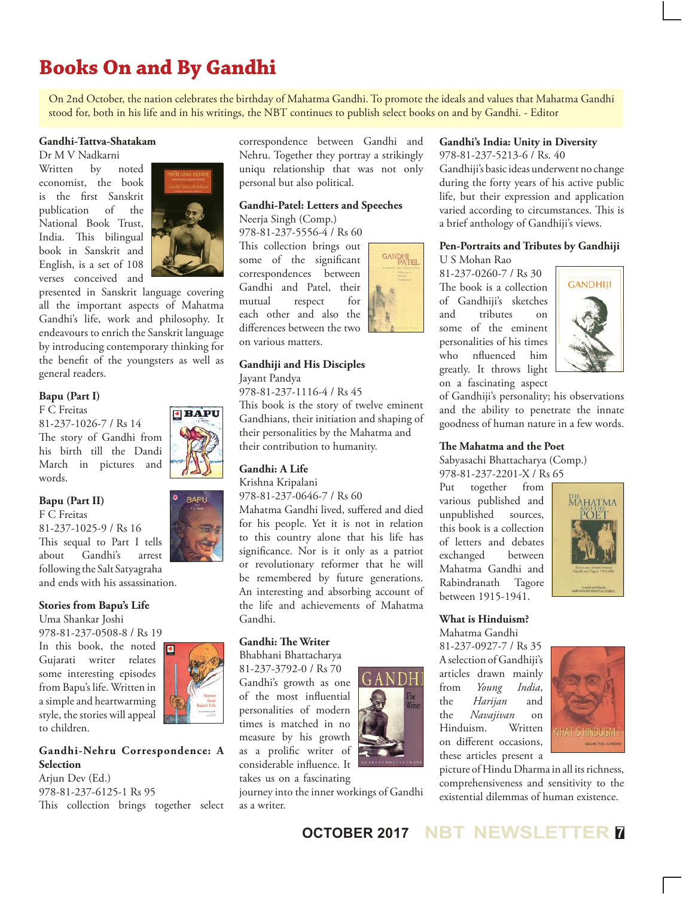# **Books On and By Gandhi**

On 2nd October, the nation celebrates the birthday of Mahatma Gandhi. To promote the ideals and values that Mahatma Gandhi stood for, both in his life and in his writings, the NBT continues to publish select books on and by Gandhi. - Editor

#### **Gandhi-Tattva-Shatakam**

Dr M V Nadkarni

Written by noted economist, the book is the first Sanskrit publication of the National Book Trust, India. This bilingual book in Sanskrit and English, is a set of 108 verses conceived and



presented in Sanskrit language covering all the important aspects of Mahatma Gandhi's life, work and philosophy. It endeavours to enrich the Sanskrit language by introducing contemporary thinking for the benefit of the youngsters as well as general readers.

#### **Bapu (Part I)**

F C Freitas 81-237-1026-7 / Rs 14 The story of Gandhi from his birth till the Dandi March in pictures and words.

#### **Bapu (Part II)**

F C Freitas 81-237-1025-9 / Rs 16 This sequal to Part I tells about Gandhi's arrest following the Salt Satyagraha and ends with his assassination.

#### **Stories from Bapu's Life**

Uma Shankar Joshi 978-81-237-0508-8 / Rs 19

In this book, the noted  $\sqrt{\bullet}$ Gujarati writer relates some interesting episodes from Bapu's life. Written in a simple and heartwarming style, the stories will appeal to children.

#### **Gandhi-Nehru Correspondence: A Selection**

Ariun Dev (Ed.) 978-81-237-6125-1 Rs 95 This collection brings together select correspondence between Gandhi and Nehru. Together they portray a strikingly uniqu relationship that was not only personal but also political.

### **Gandhi-Patel: Letters and Speeches**

Neerja Singh (Comp.) 978-81-237-5556-4 / Rs 60 This collection brings out some of the significant correspondences between Gandhi and Patel, their mutual respect for each other and also the differences between the two on various matters.



#### **Gandhiji and His Disciples**

Jayant Pandya

978-81-237-1116-4 / Rs 45 This book is the story of twelve eminent Gandhians, their initiation and shaping of their personalities by the Mahatma and their contribution to humanity.

#### **Gandhi: A Life**

Krishna Kripalani 978-81-237-0646-7 / Rs 60

Mahatma Gandhi lived, suffered and died for his people. Yet it is not in relation to this country alone that his life has significance. Nor is it only as a patriot or revolutionary reformer that he will be remembered by future generations. An interesting and absorbing account of the life and achievements of Mahatma Gandhi.

#### **Gandhi: The Writer**

Bhabhani Bhattacharya

81-237-3792-0 / Rs 70 Gandhi's growth as one of the most influential personalities of modern times is matched in no measure by his growth as a prolific writer of considerable influence. It takes us on a fascinating

journey into the inner workings of Gandhi as a writer.



**Gandhi's India: Unity in Diversity**

978-81-237-5213-6 / Rs. 40 Gandhiji's basic ideas underwent no change during the forty years of his active public life, but their expression and application varied according to circumstances. This is a brief anthology of Gandhiji's views.

#### **Pen-Portraits and Tributes by Gandhiji** U S Mohan Rao

81-237-0260-7 / Rs 30 The book is a collection of Gandhiji's sketches and tributes on some of the eminent personalities of his times who nfluenced him greatly. It throws light on a fascinating aspect



of Gandhiji's personality; his observations and the ability to penetrate the innate goodness of human nature in a few words.

#### **The Mahatma and the Poet**

Sabyasachi Bhattacharya (Comp.) 978-81-237-2201-X / Rs 65

Put together from various published and unpublished sources, this book is a collection of letters and debates exchanged between Mahatma Gandhi and Rabindranath Tagore between 1915-1941.



#### **What is Hinduism?** Mahatma Gandhi

81-237-0927-7 / Rs 35 A selection of Gandhiji's articles drawn mainly from *Young India*, the *Harijan* and the *Navajivan* on Hinduism. Written on different occasions, these articles present a



picture of Hindu Dharma in all its richness, comprehensiveness and sensitivity to the existential dilemmas of human existence.



**BAPU**